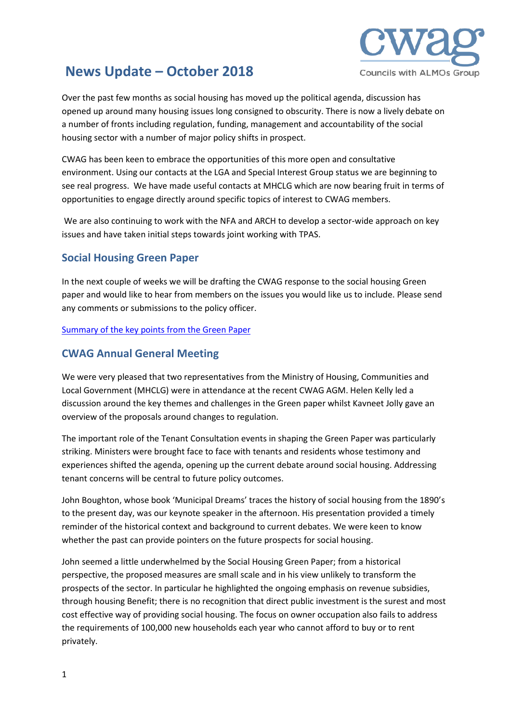

# **News Update – October 2018**

Over the past few months as social housing has moved up the political agenda, discussion has opened up around many housing issues long consigned to obscurity. There is now a lively debate on a number of fronts including regulation, funding, management and accountability of the social housing sector with a number of major policy shifts in prospect.

CWAG has been keen to embrace the opportunities of this more open and consultative environment. Using our contacts at the LGA and Special Interest Group status we are beginning to see real progress. We have made useful contacts at MHCLG which are now bearing fruit in terms of opportunities to engage directly around specific topics of interest to CWAG members.

We are also continuing to work with the NFA and ARCH to develop a sector-wide approach on key issues and have taken initial steps towards joint working with TPAS.

## **Social Housing Green Paper**

In the next couple of weeks we will be drafting the CWAG response to the social housing Green paper and would like to hear from members on the issues you would like us to include. Please send any comments or submissions to the policy officer.

[Summary of the key points from the Green Paper](https://www.councilswithalmos.co.uk/UserFiles/File/Green%20Paper%20Key%20Points.pdf)

## **CWAG Annual General Meeting**

We were very pleased that two representatives from the Ministry of Housing, Communities and Local Government (MHCLG) were in attendance at the recent CWAG AGM. Helen Kelly led a discussion around the key themes and challenges in the Green paper whilst Kavneet Jolly gave an overview of the proposals around changes to regulation.

The important role of the Tenant Consultation events in shaping the Green Paper was particularly striking. Ministers were brought face to face with tenants and residents whose testimony and experiences shifted the agenda, opening up the current debate around social housing. Addressing tenant concerns will be central to future policy outcomes.

John Boughton, whose book 'Municipal Dreams' traces the history of social housing from the 1890's to the present day, was our keynote speaker in the afternoon. His presentation provided a timely reminder of the historical context and background to current debates. We were keen to know whether the past can provide pointers on the future prospects for social housing.

John seemed a little underwhelmed by the Social Housing Green Paper; from a historical perspective, the proposed measures are small scale and in his view unlikely to transform the prospects of the sector. In particular he highlighted the ongoing emphasis on revenue subsidies, through housing Benefit; there is no recognition that direct public investment is the surest and most cost effective way of providing social housing. The focus on owner occupation also fails to address the requirements of 100,000 new households each year who cannot afford to buy or to rent privately.